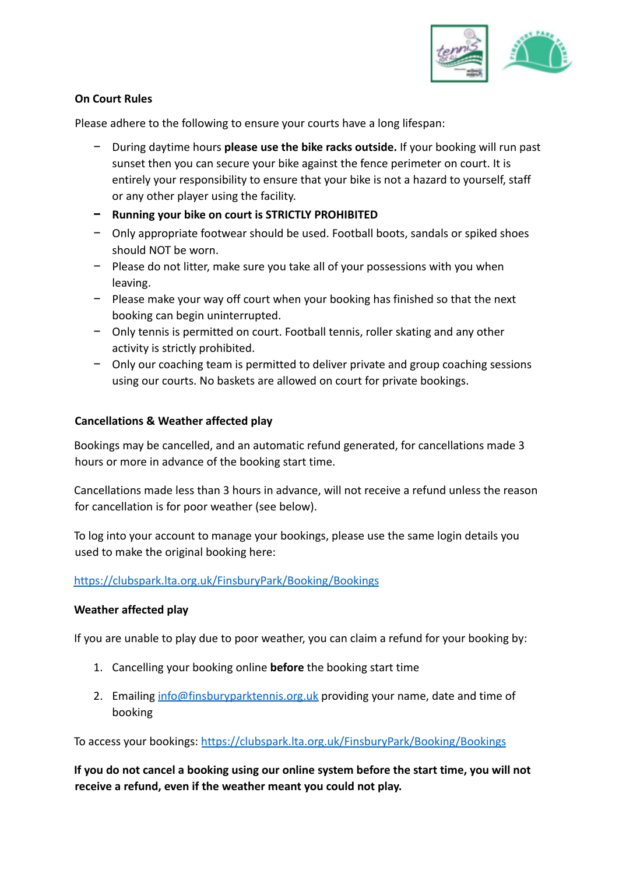

# **On Court Rules**

Please adhere to the following to ensure your courts have a long lifespan:

- − During daytime hours **please use the bike racks outside.** If your booking will run past sunset then you can secure your bike against the fence perimeter on court. It is entirely your responsibility to ensure that your bike is not a hazard to yourself, staff or any other player using the facility.
- **− Running your bike on court is STRICTLY PROHIBITED**
- − Only appropriate footwear should be used. Football boots, sandals or spiked shoes should NOT be worn.
- − Please do not litter, make sure you take all of your possessions with you when leaving.
- − Please make your way off court when your booking has finished so that the next booking can begin uninterrupted.
- − Only tennis is permitted on court. Football tennis, roller skating and any other activity is strictly prohibited.
- − Only our coaching team is permitted to deliver private and group coaching sessions using our courts. No baskets are allowed on court for private bookings.

## **Cancellations & Weather affected play**

Bookings may be cancelled, and an automatic refund generated, for cancellations made 3 hours or more in advance of the booking start time.

Cancellations made less than 3 hours in advance, will not receive a refund unless the reason for cancellation is for poor weather (see below).

To log into your account to manage your bookings, please use the same login details you used to make the original booking here:

#### <https://clubspark.lta.org.uk/FinsburyPark/Booking/Bookings>

## **Weather affected play**

If you are unable to play due to poor weather, you can claim a refund for your booking by:

- 1. Cancelling your booking online **before** the booking start time
- 2. Emailing [info@finsburyparktennis.org.uk](mailto:info@finsburyparktennis.org.uk) providing your name, date and time of booking

To access your bookings: <https://clubspark.lta.org.uk/FinsburyPark/Booking/Bookings>

**If you do not cancel a booking using our online system before the start time, you will not receive a refund, even if the weather meant you could not play.**